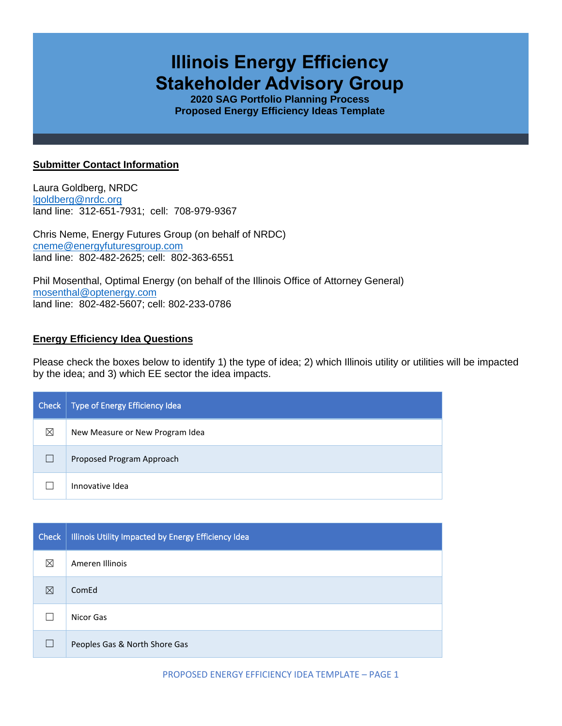# **Illinois Energy Efficiency Stakeholder Advisory Group**

**2020 SAG Portfolio Planning Process Proposed Energy Efficiency Ideas Template**

### **Submitter Contact Information**

Laura Goldberg, NRDC [lgoldberg@nrdc.org](mailto:lgoldberg@nrdc.org) land line: 312-651-7931; cell: 708-979-9367

Chris Neme, Energy Futures Group (on behalf of NRDC) [cneme@energyfuturesgroup.com](mailto:cneme@energyfuturesgroup.com) land line: 802-482-2625; cell: 802-363-6551

Phil Mosenthal, Optimal Energy (on behalf of the Illinois Office of Attorney General) [mosenthal@optenergy.com](mailto:mosenthal@optenergy.com) land line: 802-482-5607; cell: 802-233-0786

## **Energy Efficiency Idea Questions**

Please check the boxes below to identify 1) the type of idea; 2) which Illinois utility or utilities will be impacted by the idea; and 3) which EE sector the idea impacts.

| <b>Check</b> | Type of Energy Efficiency Idea  |
|--------------|---------------------------------|
| ⊠            | New Measure or New Program Idea |
|              | Proposed Program Approach       |
|              | Innovative Idea                 |

| Check | Illinois Utility Impacted by Energy Efficiency Idea |
|-------|-----------------------------------------------------|
| ⊠     | Ameren Illinois                                     |
| ⊠     | ComEd                                               |
|       | Nicor Gas                                           |
|       | Peoples Gas & North Shore Gas                       |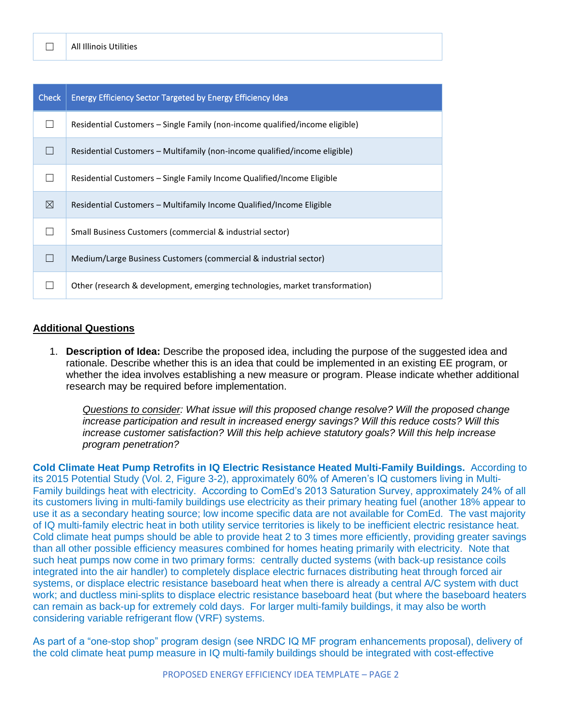| <b>Check</b> | <b>Energy Efficiency Sector Targeted by Energy Efficiency Idea</b>           |
|--------------|------------------------------------------------------------------------------|
|              | Residential Customers – Single Family (non-income qualified/income eligible) |
|              | Residential Customers – Multifamily (non-income qualified/income eligible)   |
|              | Residential Customers – Single Family Income Qualified/Income Eligible       |
| ⊠            | Residential Customers – Multifamily Income Qualified/Income Eligible         |
|              | Small Business Customers (commercial & industrial sector)                    |
|              | Medium/Large Business Customers (commercial & industrial sector)             |
|              | Other (research & development, emerging technologies, market transformation) |

### **Additional Questions**

1. **Description of Idea:** Describe the proposed idea, including the purpose of the suggested idea and rationale. Describe whether this is an idea that could be implemented in an existing EE program, or whether the idea involves establishing a new measure or program. Please indicate whether additional research may be required before implementation.

*Questions to consider: What issue will this proposed change resolve? Will the proposed change increase participation and result in increased energy savings? Will this reduce costs? Will this increase customer satisfaction? Will this help achieve statutory goals? Will this help increase program penetration?* 

**Cold Climate Heat Pump Retrofits in IQ Electric Resistance Heated Multi-Family Buildings.** According to its 2015 Potential Study (Vol. 2, Figure 3-2), approximately 60% of Ameren's IQ customers living in Multi-Family buildings heat with electricity. According to ComEd's 2013 Saturation Survey, approximately 24% of all its customers living in multi-family buildings use electricity as their primary heating fuel (another 18% appear to use it as a secondary heating source; low income specific data are not available for ComEd. The vast majority of IQ multi-family electric heat in both utility service territories is likely to be inefficient electric resistance heat. Cold climate heat pumps should be able to provide heat 2 to 3 times more efficiently, providing greater savings than all other possible efficiency measures combined for homes heating primarily with electricity. Note that such heat pumps now come in two primary forms: centrally ducted systems (with back-up resistance coils integrated into the air handler) to completely displace electric furnaces distributing heat through forced air systems, or displace electric resistance baseboard heat when there is already a central A/C system with duct work; and ductless mini-splits to displace electric resistance baseboard heat (but where the baseboard heaters can remain as back-up for extremely cold days. For larger multi-family buildings, it may also be worth considering variable refrigerant flow (VRF) systems.

As part of a "one-stop shop" program design (see NRDC IQ MF program enhancements proposal), delivery of the cold climate heat pump measure in IQ multi-family buildings should be integrated with cost-effective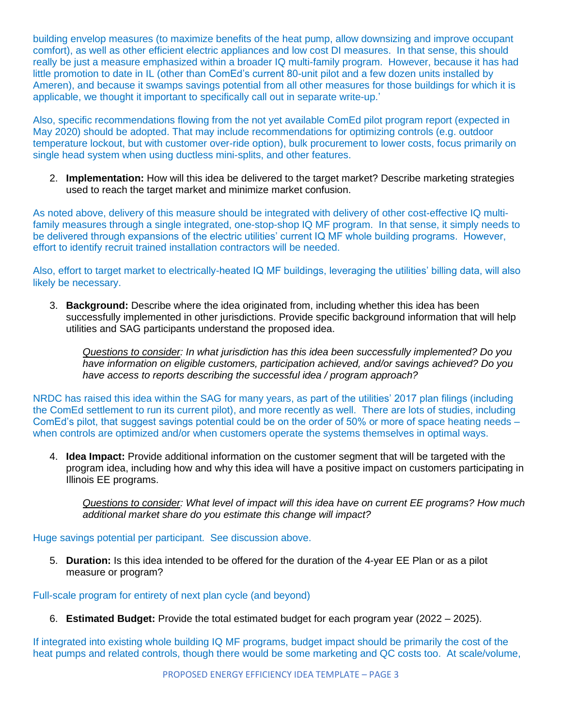building envelop measures (to maximize benefits of the heat pump, allow downsizing and improve occupant comfort), as well as other efficient electric appliances and low cost DI measures. In that sense, this should really be just a measure emphasized within a broader IQ multi-family program. However, because it has had little promotion to date in IL (other than ComEd's current 80-unit pilot and a few dozen units installed by Ameren), and because it swamps savings potential from all other measures for those buildings for which it is applicable, we thought it important to specifically call out in separate write-up.'

Also, specific recommendations flowing from the not yet available ComEd pilot program report (expected in May 2020) should be adopted. That may include recommendations for optimizing controls (e.g. outdoor temperature lockout, but with customer over-ride option), bulk procurement to lower costs, focus primarily on single head system when using ductless mini-splits, and other features.

2. **Implementation:** How will this idea be delivered to the target market? Describe marketing strategies used to reach the target market and minimize market confusion.

As noted above, delivery of this measure should be integrated with delivery of other cost-effective IQ multifamily measures through a single integrated, one-stop-shop IQ MF program. In that sense, it simply needs to be delivered through expansions of the electric utilities' current IQ MF whole building programs. However, effort to identify recruit trained installation contractors will be needed.

Also, effort to target market to electrically-heated IQ MF buildings, leveraging the utilities' billing data, will also likely be necessary.

3. **Background:** Describe where the idea originated from, including whether this idea has been successfully implemented in other jurisdictions. Provide specific background information that will help utilities and SAG participants understand the proposed idea.

*Questions to consider: In what jurisdiction has this idea been successfully implemented? Do you have information on eligible customers, participation achieved, and/or savings achieved? Do you have access to reports describing the successful idea / program approach?* 

NRDC has raised this idea within the SAG for many years, as part of the utilities' 2017 plan filings (including the ComEd settlement to run its current pilot), and more recently as well. There are lots of studies, including ComEd's pilot, that suggest savings potential could be on the order of 50% or more of space heating needs – when controls are optimized and/or when customers operate the systems themselves in optimal ways.

4. **Idea Impact:** Provide additional information on the customer segment that will be targeted with the program idea, including how and why this idea will have a positive impact on customers participating in Illinois EE programs.

*Questions to consider: What level of impact will this idea have on current EE programs? How much additional market share do you estimate this change will impact?*

Huge savings potential per participant. See discussion above.

5. **Duration:** Is this idea intended to be offered for the duration of the 4-year EE Plan or as a pilot measure or program?

Full-scale program for entirety of next plan cycle (and beyond)

6. **Estimated Budget:** Provide the total estimated budget for each program year (2022 – 2025).

If integrated into existing whole building IQ MF programs, budget impact should be primarily the cost of the heat pumps and related controls, though there would be some marketing and QC costs too. At scale/volume,